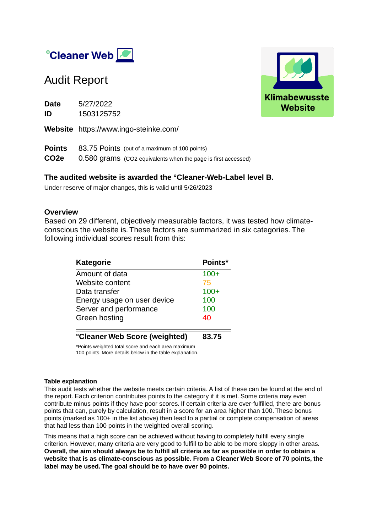

## Audit Report

**Date** 5/27/2022 **ID** 1503125752 **Website** https://www.ingo-steinke.com/

**Points** 83.75 Points (out of a maximum of 100 points) **CO2e** 0.580 grams (CO2 equivalents when the page is first accessed)

#### **The audited website is awarded the °Cleaner-Web-Label level B.**

Under reserve of major changes, this is valid until 5/26/2023

#### **Overview**

Based on 29 different, objectively measurable factors, it was tested how climateconscious the website is. These factors are summarized in six categories. The following individual scores result from this:

| <b>Kategorie</b>                    | Points* |
|-------------------------------------|---------|
| Amount of data                      | $100+$  |
| Website content                     | 75      |
| Data transfer                       | $100+$  |
| Energy usage on user device         | 100     |
| Server and performance              | 100     |
| Green hosting                       | 40      |
| <b>Cleaner Web Score (weighted)</b> | 83.75   |

\*Points weighted total score and each area maximum 100 points. More details below in the table explanation.

#### **Table explanation**

This audit tests whether the website meets certain criteria. A list of these can be found at the end of the report. Each criterion contributes points to the category if it is met. Some criteria may even contribute minus points if they have poor scores. If certain criteria are over-fulfilled, there are bonus points that can, purely by calculation, result in a score for an area higher than 100. These bonus points (marked as 100+ in the list above) then lead to a partial or complete compensation of areas that had less than 100 points in the weighted overall scoring.

This means that a high score can be achieved without having to completely fulfill every single criterion. However, many criteria are very good to fulfill to be able to be more sloppy in other areas. **Overall, the aim should always be to fulfill all criteria as far as possible in order to obtain a website that is as climate-conscious as possible. From a Cleaner Web Score of 70 points, the label may be used. The goal should be to have over 90 points.**

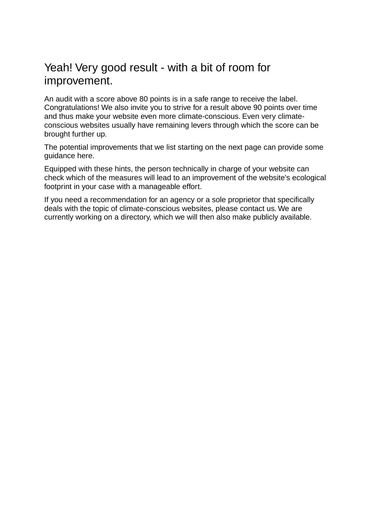## Yeah! Very good result - with a bit of room for improvement.

An audit with a score above 80 points is in a safe range to receive the label. Congratulations! We also invite you to strive for a result above 90 points over time and thus make your website even more climate-conscious. Even very climateconscious websites usually have remaining levers through which the score can be brought further up.

The potential improvements that we list starting on the next page can provide some guidance here.

Equipped with these hints, the person technically in charge of your website can check which of the measures will lead to an improvement of the website's ecological footprint in your case with a manageable effort.

If you need a recommendation for an agency or a sole proprietor that specifically deals with the topic of climate-conscious websites, please contact us. We are currently working on a directory, which we will then also make publicly available.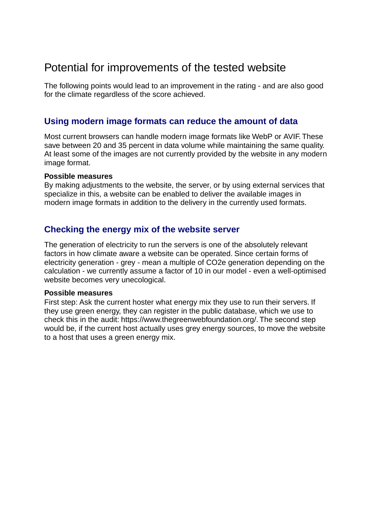## Potential for improvements of the tested website

The following points would lead to an improvement in the rating - and are also good for the climate regardless of the score achieved.

### **Using modern image formats can reduce the amount of data**

Most current browsers can handle modern image formats like WebP or AVIF. These save between 20 and 35 percent in data volume while maintaining the same quality. At least some of the images are not currently provided by the website in any modern image format.

#### **Possible measures**

By making adjustments to the website, the server, or by using external services that specialize in this, a website can be enabled to deliver the available images in modern image formats in addition to the delivery in the currently used formats.

### **Checking the energy mix of the website server**

The generation of electricity to run the servers is one of the absolutely relevant factors in how climate aware a website can be operated. Since certain forms of electricity generation - grey - mean a multiple of CO2e generation depending on the calculation - we currently assume a factor of 10 in our model - even a well-optimised website becomes very unecological.

#### **Possible measures**

First step: Ask the current hoster what energy mix they use to run their servers. If they use green energy, they can register in the public database, which we use to check this in the audit: https://www.thegreenwebfoundation.org/. The second step would be, if the current host actually uses grey energy sources, to move the website to a host that uses a green energy mix.